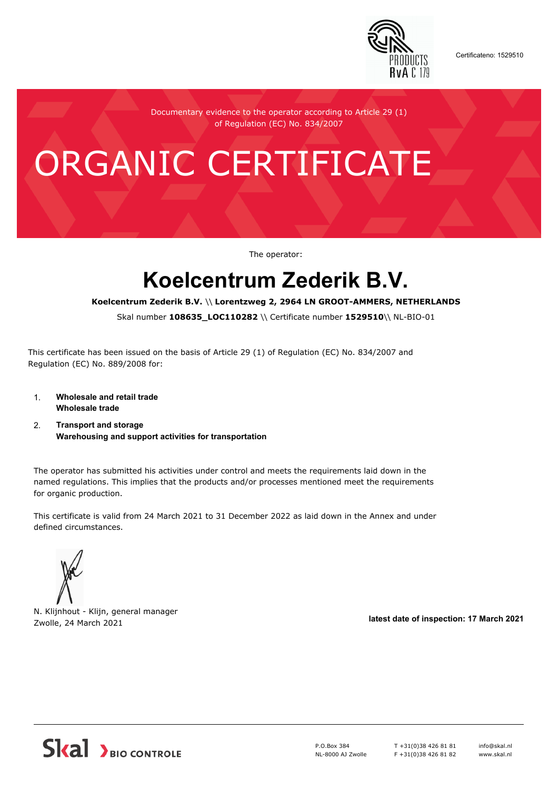

Certificateno: 1529510

Documentary evidence to the operator according to Article 29 (1) of Regulation (EC) No. 834/2007

# ORGANIC CERTIFICATE

The operator:

## **Koelcentrum Zederik B.V.**

#### **Koelcentrum Zederik B.V.** \\ **Lorentzweg 2, 2964 LN GROOT-AMMERS, NETHERLANDS**

Skal number **108635\_LOC110282** \\ Certificate number **1529510**\\ NL-BIO-01

This certificate has been issued on the basis of Article 29 (1) of Regulation (EC) No. 834/2007 and Regulation (EC) No. 889/2008 for:

- 1. **Wholesale and retail trade Wholesale trade**
- 2. **Transport and storage Warehousing and support activities for transportation**

The operator has submitted his activities under control and meets the requirements laid down in the named regulations. This implies that the products and/or processes mentioned meet the requirements for organic production.

This certificate is valid from 24 March 2021 to 31 December 2022 as laid down in the Annex and under defined circumstances.



N. Klijnhout - Klijn, general manager Zwolle, 24 March 2021 **latest date of inspection: 17 March 2021**



P.O.Box 384 NL-8000 AJ Zwolle T +31(0)38 426 81 81 F +31(0)38 426 81 82